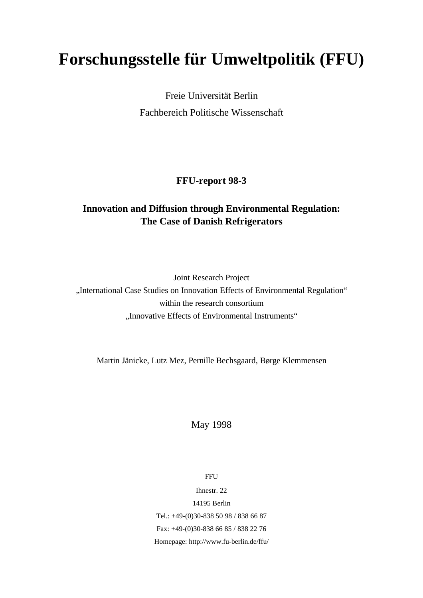# **Forschungsstelle für Umweltpolitik (FFU)**

Freie Universität Berlin Fachbereich Politische Wissenschaft

# **FFU-report 98-3**

# **Innovation and Diffusion through Environmental Regulation: The Case of Danish Refrigerators**

Joint Research Project "International Case Studies on Innovation Effects of Environmental Regulation" within the research consortium "Innovative Effects of Environmental Instruments"

Martin Jänicke, Lutz Mez, Pernille Bechsgaard, Børge Klemmensen

May 1998

**FFU** 

Ihnestr. 22 14195 Berlin Tel.: +49-(0)30-838 50 98 / 838 66 87 Fax: +49-(0)30-838 66 85 / 838 22 76 Homepage: http://www.fu-berlin.de/ffu/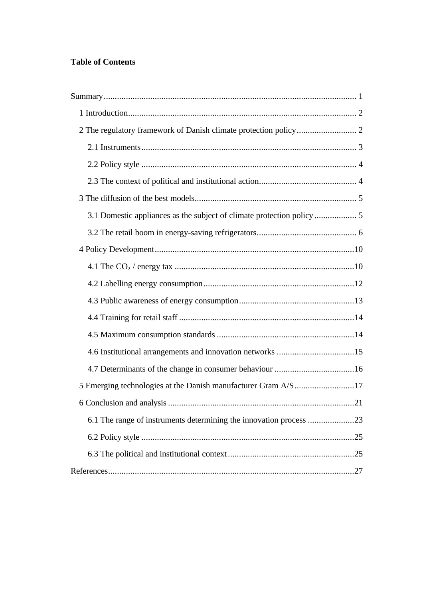# **Table of Contents**

| 5 Emerging technologies at the Danish manufacturer Gram A/S17      |  |
|--------------------------------------------------------------------|--|
|                                                                    |  |
| 6.1 The range of instruments determining the innovation process 23 |  |
|                                                                    |  |
|                                                                    |  |
|                                                                    |  |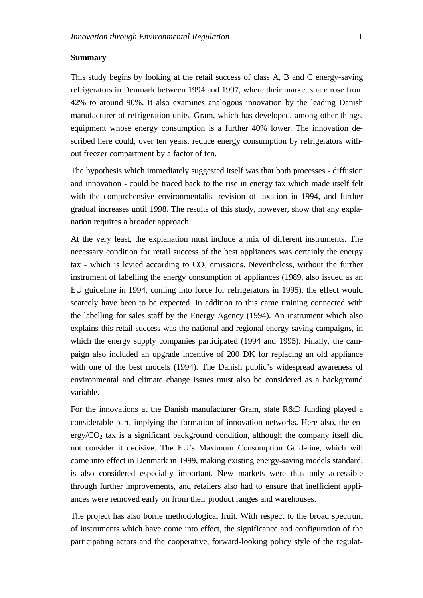### **Summary**

This study begins by looking at the retail success of class A, B and C energy-saving refrigerators in Denmark between 1994 and 1997, where their market share rose from 42% to around 90%. It also examines analogous innovation by the leading Danish manufacturer of refrigeration units, Gram, which has developed, among other things, equipment whose energy consumption is a further 40% lower. The innovation described here could, over ten years, reduce energy consumption by refrigerators without freezer compartment by a factor of ten.

The hypothesis which immediately suggested itself was that both processes - diffusion and innovation - could be traced back to the rise in energy tax which made itself felt with the comprehensive environmentalist revision of taxation in 1994, and further gradual increases until 1998. The results of this study, however, show that any explanation requires a broader approach.

At the very least, the explanation must include a mix of different instruments. The necessary condition for retail success of the best appliances was certainly the energy tax - which is levied according to  $CO<sub>2</sub>$  emissions. Nevertheless, without the further instrument of labelling the energy consumption of appliances (1989, also issued as an EU guideline in 1994, coming into force for refrigerators in 1995), the effect would scarcely have been to be expected. In addition to this came training connected with the labelling for sales staff by the Energy Agency (1994). An instrument which also explains this retail success was the national and regional energy saving campaigns, in which the energy supply companies participated (1994 and 1995). Finally, the campaign also included an upgrade incentive of 200 DK for replacing an old appliance with one of the best models (1994). The Danish public's widespread awareness of environmental and climate change issues must also be considered as a background variable.

For the innovations at the Danish manufacturer Gram, state R&D funding played a considerable part, implying the formation of innovation networks. Here also, the en- $\text{ergy/CO}_2$  tax is a significant background condition, although the company itself did not consider it decisive. The EU's Maximum Consumption Guideline, which will come into effect in Denmark in 1999, making existing energy-saving models standard, is also considered especially important. New markets were thus only accessible through further improvements, and retailers also had to ensure that inefficient appliances were removed early on from their product ranges and warehouses.

The project has also borne methodological fruit. With respect to the broad spectrum of instruments which have come into effect, the significance and configuration of the participating actors and the cooperative, forward-looking policy style of the regulat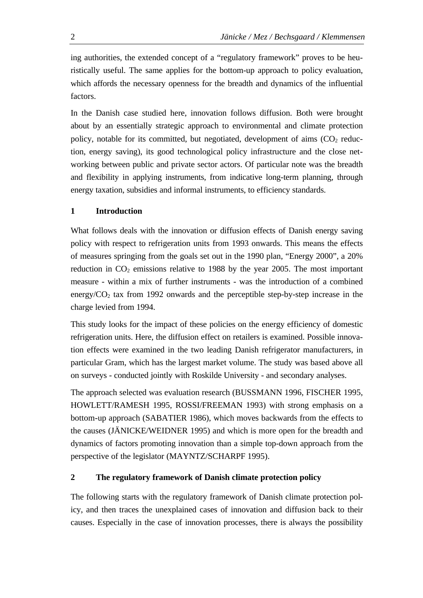ing authorities, the extended concept of a "regulatory framework" proves to be heuristically useful. The same applies for the bottom-up approach to policy evaluation, which affords the necessary openness for the breadth and dynamics of the influential factors.

In the Danish case studied here, innovation follows diffusion. Both were brought about by an essentially strategic approach to environmental and climate protection policy, notable for its committed, but negotiated, development of aims  $(CO<sub>2</sub>$  reduction, energy saving), its good technological policy infrastructure and the close networking between public and private sector actors. Of particular note was the breadth and flexibility in applying instruments, from indicative long-term planning, through energy taxation, subsidies and informal instruments, to efficiency standards.

# **1 Introduction**

What follows deals with the innovation or diffusion effects of Danish energy saving policy with respect to refrigeration units from 1993 onwards. This means the effects of measures springing from the goals set out in the 1990 plan, "Energy 2000", a 20% reduction in  $CO<sub>2</sub>$  emissions relative to 1988 by the year 2005. The most important measure - within a mix of further instruments - was the introduction of a combined energy/ $CO<sub>2</sub>$  tax from 1992 onwards and the perceptible step-by-step increase in the charge levied from 1994.

This study looks for the impact of these policies on the energy efficiency of domestic refrigeration units. Here, the diffusion effect on retailers is examined. Possible innovation effects were examined in the two leading Danish refrigerator manufacturers, in particular Gram, which has the largest market volume. The study was based above all on surveys - conducted jointly with Roskilde University - and secondary analyses.

The approach selected was evaluation research (BUSSMANN 1996, FISCHER 1995, HOWLETT/RAMESH 1995, ROSSI/FREEMAN 1993) with strong emphasis on a bottom-up approach (SABATIER 1986), which moves backwards from the effects to the causes (JÄNICKE/WEIDNER 1995) and which is more open for the breadth and dynamics of factors promoting innovation than a simple top-down approach from the perspective of the legislator (MAYNTZ/SCHARPF 1995).

# **2 The regulatory framework of Danish climate protection policy**

The following starts with the regulatory framework of Danish climate protection policy, and then traces the unexplained cases of innovation and diffusion back to their causes. Especially in the case of innovation processes, there is always the possibility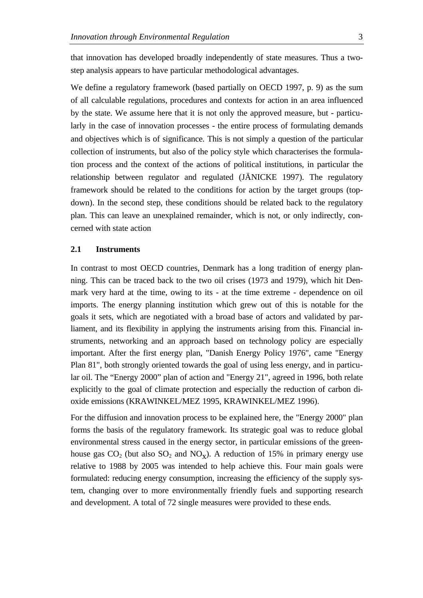that innovation has developed broadly independently of state measures. Thus a twostep analysis appears to have particular methodological advantages.

We define a regulatory framework (based partially on OECD 1997, p. 9) as the sum of all calculable regulations, procedures and contexts for action in an area influenced by the state. We assume here that it is not only the approved measure, but - particularly in the case of innovation processes - the entire process of formulating demands and objectives which is of significance. This is not simply a question of the particular collection of instruments, but also of the policy style which characterises the formulation process and the context of the actions of political institutions, in particular the relationship between regulator and regulated (JÄNICKE 1997). The regulatory framework should be related to the conditions for action by the target groups (topdown). In the second step, these conditions should be related back to the regulatory plan. This can leave an unexplained remainder, which is not, or only indirectly, concerned with state action

### **2.1 Instruments**

In contrast to most OECD countries, Denmark has a long tradition of energy planning. This can be traced back to the two oil crises (1973 and 1979), which hit Denmark very hard at the time, owing to its - at the time extreme - dependence on oil imports. The energy planning institution which grew out of this is notable for the goals it sets, which are negotiated with a broad base of actors and validated by parliament, and its flexibility in applying the instruments arising from this. Financial instruments, networking and an approach based on technology policy are especially important. After the first energy plan, "Danish Energy Policy 1976", came "Energy Plan 81", both strongly oriented towards the goal of using less energy, and in particular oil. The "Energy 2000" plan of action and "Energy 21", agreed in 1996, both relate explicitly to the goal of climate protection and especially the reduction of carbon dioxide emissions (KRAWINKEL/MEZ 1995, KRAWINKEL/MEZ 1996).

For the diffusion and innovation process to be explained here, the "Energy 2000" plan forms the basis of the regulatory framework. Its strategic goal was to reduce global environmental stress caused in the energy sector, in particular emissions of the greenhouse gas  $CO_2$  (but also  $SO_2$  and  $NO_X$ ). A reduction of 15% in primary energy use relative to 1988 by 2005 was intended to help achieve this. Four main goals were formulated: reducing energy consumption, increasing the efficiency of the supply system, changing over to more environmentally friendly fuels and supporting research and development. A total of 72 single measures were provided to these ends.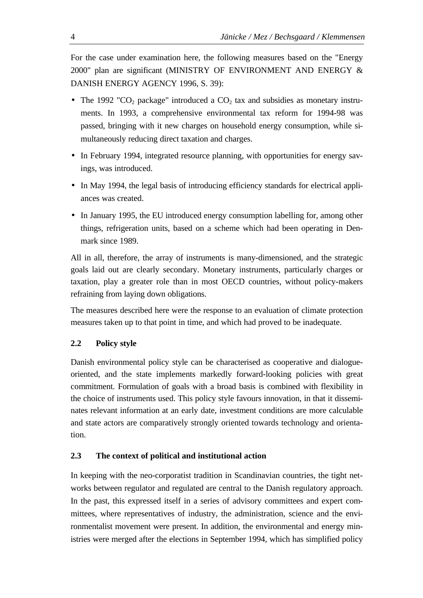For the case under examination here, the following measures based on the "Energy 2000" plan are significant (MINISTRY OF ENVIRONMENT AND ENERGY & DANISH ENERGY AGENCY 1996, S. 39):

- The 1992 "CO<sub>2</sub> package" introduced a CO<sub>2</sub> tax and subsidies as monetary instruments. In 1993, a comprehensive environmental tax reform for 1994-98 was passed, bringing with it new charges on household energy consumption, while simultaneously reducing direct taxation and charges.
- In February 1994, integrated resource planning, with opportunities for energy savings, was introduced.
- In May 1994, the legal basis of introducing efficiency standards for electrical appliances was created.
- In January 1995, the EU introduced energy consumption labelling for, among other things, refrigeration units, based on a scheme which had been operating in Denmark since 1989.

All in all, therefore, the array of instruments is many-dimensioned, and the strategic goals laid out are clearly secondary. Monetary instruments, particularly charges or taxation, play a greater role than in most OECD countries, without policy-makers refraining from laying down obligations.

The measures described here were the response to an evaluation of climate protection measures taken up to that point in time, and which had proved to be inadequate.

# **2.2 Policy style**

Danish environmental policy style can be characterised as cooperative and dialogueoriented, and the state implements markedly forward-looking policies with great commitment. Formulation of goals with a broad basis is combined with flexibility in the choice of instruments used. This policy style favours innovation, in that it disseminates relevant information at an early date, investment conditions are more calculable and state actors are comparatively strongly oriented towards technology and orientation.

# **2.3 The context of political and institutional action**

In keeping with the neo-corporatist tradition in Scandinavian countries, the tight networks between regulator and regulated are central to the Danish regulatory approach. In the past, this expressed itself in a series of advisory committees and expert committees, where representatives of industry, the administration, science and the environmentalist movement were present. In addition, the environmental and energy ministries were merged after the elections in September 1994, which has simplified policy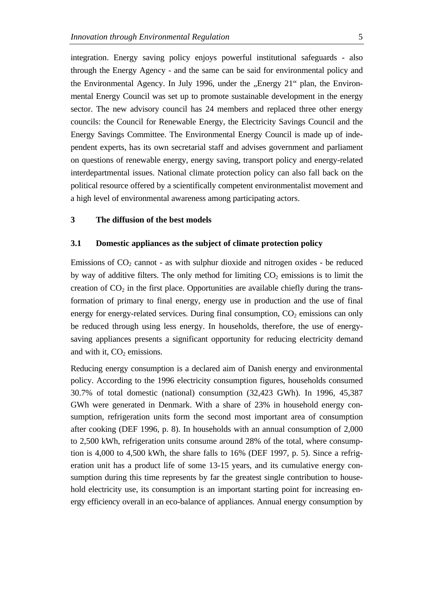integration. Energy saving policy enjoys powerful institutional safeguards - also through the Energy Agency - and the same can be said for environmental policy and the Environmental Agency. In July 1996, under the "Energy 21" plan, the Environmental Energy Council was set up to promote sustainable development in the energy sector. The new advisory council has 24 members and replaced three other energy councils: the Council for Renewable Energy, the Electricity Savings Council and the Energy Savings Committee. The Environmental Energy Council is made up of independent experts, has its own secretarial staff and advises government and parliament on questions of renewable energy, energy saving, transport policy and energy-related interdepartmental issues. National climate protection policy can also fall back on the political resource offered by a scientifically competent environmentalist movement and a high level of environmental awareness among participating actors.

### **3 The diffusion of the best models**

### **3.1 Domestic appliances as the subject of climate protection policy**

Emissions of  $CO<sub>2</sub>$  cannot - as with sulphur dioxide and nitrogen oxides - be reduced by way of additive filters. The only method for limiting  $CO<sub>2</sub>$  emissions is to limit the creation of  $CO<sub>2</sub>$  in the first place. Opportunities are available chiefly during the transformation of primary to final energy, energy use in production and the use of final energy for energy-related services. During final consumption,  $CO<sub>2</sub>$  emissions can only be reduced through using less energy. In households, therefore, the use of energysaving appliances presents a significant opportunity for reducing electricity demand and with it,  $CO<sub>2</sub>$  emissions.

Reducing energy consumption is a declared aim of Danish energy and environmental policy. According to the 1996 electricity consumption figures, households consumed 30.7% of total domestic (national) consumption (32,423 GWh). In 1996, 45,387 GWh were generated in Denmark. With a share of 23% in household energy consumption, refrigeration units form the second most important area of consumption after cooking (DEF 1996, p. 8). In households with an annual consumption of 2,000 to 2,500 kWh, refrigeration units consume around 28% of the total, where consumption is 4,000 to 4,500 kWh, the share falls to 16% (DEF 1997, p. 5). Since a refrigeration unit has a product life of some 13-15 years, and its cumulative energy consumption during this time represents by far the greatest single contribution to household electricity use, its consumption is an important starting point for increasing energy efficiency overall in an eco-balance of appliances. Annual energy consumption by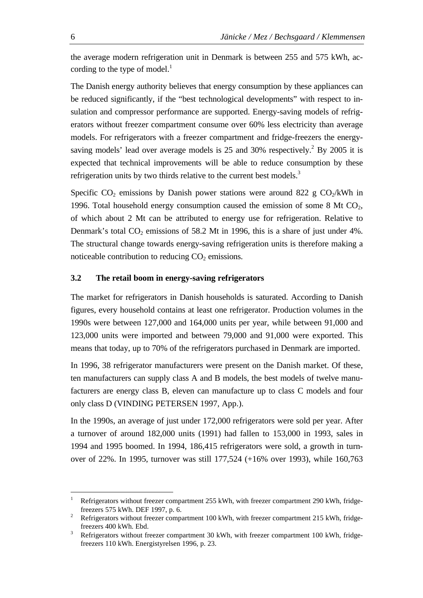the average modern refrigeration unit in Denmark is between 255 and 575 kWh, according to the type of model. $<sup>1</sup>$ </sup>

The Danish energy authority believes that energy consumption by these appliances can be reduced significantly, if the "best technological developments" with respect to insulation and compressor performance are supported. Energy-saving models of refrigerators without freezer compartment consume over 60% less electricity than average models. For refrigerators with a freezer compartment and fridge-freezers the energysaving models' lead over average models is  $25$  and  $30\%$  respectively.<sup>2</sup> By  $2005$  it is expected that technical improvements will be able to reduce consumption by these refrigeration units by two thirds relative to the current best models.<sup>3</sup>

Specific  $CO_2$  emissions by Danish power stations were around 822 g  $CO_2/kWh$  in 1996. Total household energy consumption caused the emission of some  $8 \text{ Mt } CO_2$ , of which about 2 Mt can be attributed to energy use for refrigeration. Relative to Denmark's total  $CO<sub>2</sub>$  emissions of 58.2 Mt in 1996, this is a share of just under 4%. The structural change towards energy-saving refrigeration units is therefore making a noticeable contribution to reducing  $CO<sub>2</sub>$  emissions.

# **3.2 The retail boom in energy-saving refrigerators**

The market for refrigerators in Danish households is saturated. According to Danish figures, every household contains at least one refrigerator. Production volumes in the 1990s were between 127,000 and 164,000 units per year, while between 91,000 and 123,000 units were imported and between 79,000 and 91,000 were exported. This means that today, up to 70% of the refrigerators purchased in Denmark are imported.

In 1996, 38 refrigerator manufacturers were present on the Danish market. Of these, ten manufacturers can supply class A and B models, the best models of twelve manufacturers are energy class B, eleven can manufacture up to class C models and four only class D (VINDING PETERSEN 1997, App.).

In the 1990s, an average of just under 172,000 refrigerators were sold per year. After a turnover of around 182,000 units (1991) had fallen to 153,000 in 1993, sales in 1994 and 1995 boomed. In 1994, 186,415 refrigerators were sold, a growth in turnover of 22%. In 1995, turnover was still 177,524 (+16% over 1993), while 160,763

Refrigerators without freezer compartment 255 kWh, with freezer compartment 290 kWh, fridgefreezers 575 kWh. DEF 1997, p. 6.

<sup>2</sup> Refrigerators without freezer compartment 100 kWh, with freezer compartment 215 kWh, fridgefreezers 400 kWh. Ebd.

<sup>&</sup>lt;sup>3</sup> Refrigerators without freezer compartment 30 kWh, with freezer compartment 100 kWh, fridgefreezers 110 kWh. Energistyrelsen 1996, p. 23.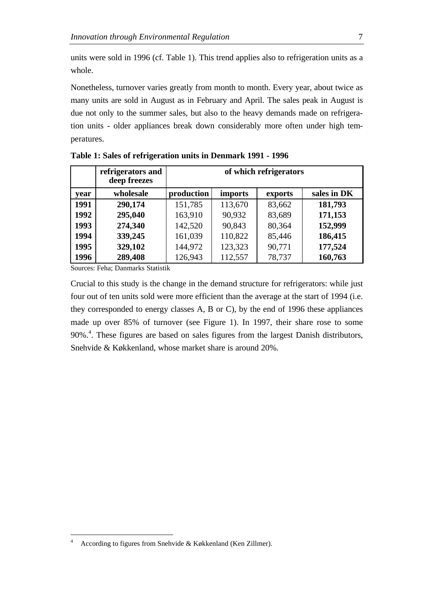units were sold in 1996 (cf. Table 1). This trend applies also to refrigeration units as a whole.

Nonetheless, turnover varies greatly from month to month. Every year, about twice as many units are sold in August as in February and April. The sales peak in August is due not only to the summer sales, but also to the heavy demands made on refrigeration units - older appliances break down considerably more often under high temperatures.

|      | refrigerators and<br>deep freezes | of which refrigerators |                |         |             |
|------|-----------------------------------|------------------------|----------------|---------|-------------|
| year | wholesale                         | production             | <i>imports</i> | exports | sales in DK |
| 1991 | 290,174                           | 151,785                | 113,670        | 83,662  | 181,793     |
| 1992 | 295,040                           | 163,910                | 90,932         | 83,689  | 171,153     |
| 1993 | 274,340                           | 142,520                | 90,843         | 80,364  | 152,999     |
| 1994 | 339,245                           | 161,039                | 110,822        | 85,446  | 186,415     |
| 1995 | 329,102                           | 144,972                | 123,323        | 90,771  | 177,524     |
| 1996 | 289,408                           | 126,943                | 112,557        | 78,737  | 160,763     |

**Table 1: Sales of refrigeration units in Denmark 1991 - 1996**

Sources: Feha; Danmarks Statistik

 $\overline{a}$ 

Crucial to this study is the change in the demand structure for refrigerators: while just four out of ten units sold were more efficient than the average at the start of 1994 (i.e. they corresponded to energy classes A, B or C), by the end of 1996 these appliances made up over 85% of turnover (see Figure 1). In 1997, their share rose to some 90%.<sup>4</sup>. These figures are based on sales figures from the largest Danish distributors, Snehvide & Køkkenland, whose market share is around 20%.

<sup>4</sup> According to figures from Snehvide & Køkkenland (Ken Zillmer).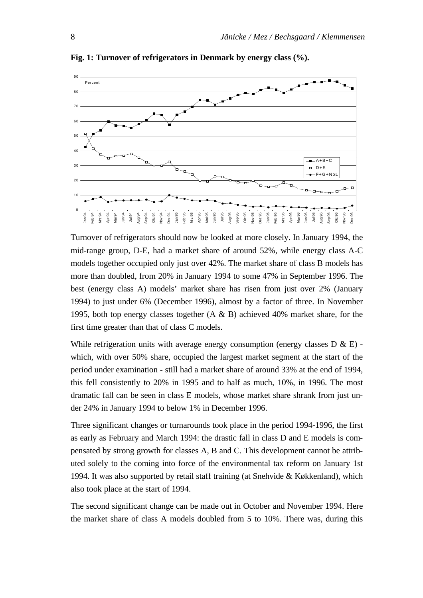

**Fig. 1: Turnover of refrigerators in Denmark by energy class (%).**

Turnover of refrigerators should now be looked at more closely. In January 1994, the mid-range group, D-E, had a market share of around 52%, while energy class A-C models together occupied only just over 42%. The market share of class B models has more than doubled, from 20% in January 1994 to some 47% in September 1996. The best (energy class A) models' market share has risen from just over 2% (January 1994) to just under 6% (December 1996), almost by a factor of three. In November 1995, both top energy classes together (A & B) achieved 40% market share, for the first time greater than that of class C models.

While refrigeration units with average energy consumption (energy classes  $D \& E$ ) which, with over 50% share, occupied the largest market segment at the start of the period under examination - still had a market share of around 33% at the end of 1994, this fell consistently to 20% in 1995 and to half as much, 10%, in 1996. The most dramatic fall can be seen in class E models, whose market share shrank from just under 24% in January 1994 to below 1% in December 1996.

Three significant changes or turnarounds took place in the period 1994-1996, the first as early as February and March 1994: the drastic fall in class D and E models is compensated by strong growth for classes A, B and C. This development cannot be attributed solely to the coming into force of the environmental tax reform on January 1st 1994. It was also supported by retail staff training (at Snehvide & Køkkenland), which also took place at the start of 1994.

The second significant change can be made out in October and November 1994. Here the market share of class A models doubled from 5 to 10%. There was, during this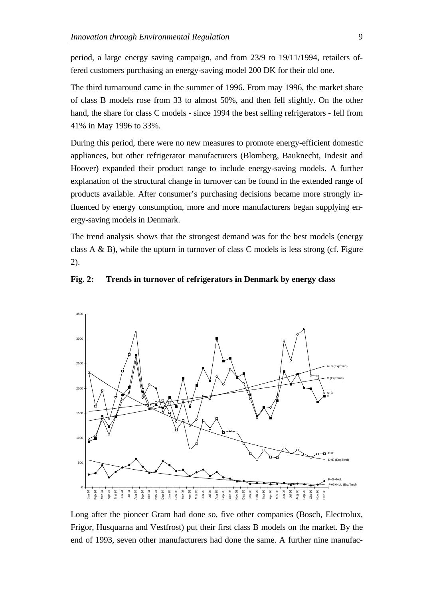period, a large energy saving campaign, and from 23/9 to 19/11/1994, retailers offered customers purchasing an energy-saving model 200 DK for their old one.

The third turnaround came in the summer of 1996. From may 1996, the market share of class B models rose from 33 to almost 50%, and then fell slightly. On the other hand, the share for class C models - since 1994 the best selling refrigerators - fell from 41% in May 1996 to 33%.

During this period, there were no new measures to promote energy-efficient domestic appliances, but other refrigerator manufacturers (Blomberg, Bauknecht, Indesit and Hoover) expanded their product range to include energy-saving models. A further explanation of the structural change in turnover can be found in the extended range of products available. After consumer's purchasing decisions became more strongly influenced by energy consumption, more and more manufacturers began supplying energy-saving models in Denmark.

The trend analysis shows that the strongest demand was for the best models (energy class  $A \& B$ ), while the upturn in turnover of class C models is less strong (cf. Figure 2).



#### **Fig. 2: Trends in turnover of refrigerators in Denmark by energy class**

Long after the pioneer Gram had done so, five other companies (Bosch, Electrolux, Frigor, Husquarna and Vestfrost) put their first class B models on the market. By the end of 1993, seven other manufacturers had done the same. A further nine manufac-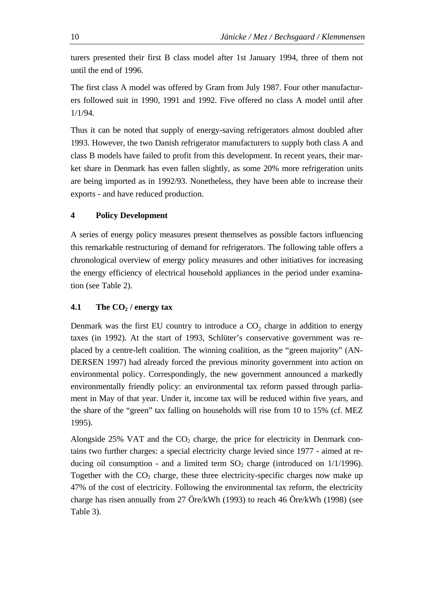turers presented their first B class model after 1st January 1994, three of them not until the end of 1996.

The first class A model was offered by Gram from July 1987. Four other manufacturers followed suit in 1990, 1991 and 1992. Five offered no class A model until after 1/1/94.

Thus it can be noted that supply of energy-saving refrigerators almost doubled after 1993. However, the two Danish refrigerator manufacturers to supply both class A and class B models have failed to profit from this development. In recent years, their market share in Denmark has even fallen slightly, as some 20% more refrigeration units are being imported as in 1992/93. Nonetheless, they have been able to increase their exports - and have reduced production.

# **4 Policy Development**

A series of energy policy measures present themselves as possible factors influencing this remarkable restructuring of demand for refrigerators. The following table offers a chronological overview of energy policy measures and other initiatives for increasing the energy efficiency of electrical household appliances in the period under examination (see Table 2).

# **4.1 The CO2 / energy tax**

Denmark was the first EU country to introduce a  $CO_2$  charge in addition to energy taxes (in 1992). At the start of 1993, Schlüter's conservative government was replaced by a centre-left coalition. The winning coalition, as the "green majority" (AN-DERSEN 1997) had already forced the previous minority government into action on environmental policy. Correspondingly, the new government announced a markedly environmentally friendly policy: an environmental tax reform passed through parliament in May of that year. Under it, income tax will be reduced within five years, and the share of the "green" tax falling on households will rise from 10 to 15% (cf. MEZ 1995).

Alongside 25% VAT and the  $CO<sub>2</sub>$  charge, the price for electricity in Denmark contains two further charges: a special electricity charge levied since 1977 - aimed at reducing oil consumption - and a limited term  $SO_2$  charge (introduced on  $1/1/1996$ ). Together with the  $CO<sub>2</sub>$  charge, these three electricity-specific charges now make up 47% of the cost of electricity. Following the environmental tax reform, the electricity charge has risen annually from 27 Öre/kWh (1993) to reach 46 Öre/kWh (1998) (see Table 3).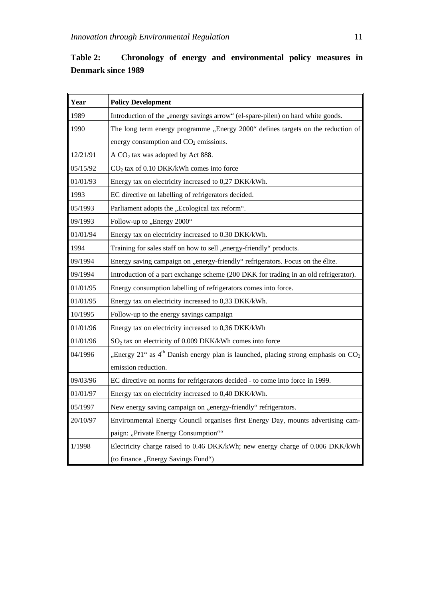| Table 2:                  |  |  | Chronology of energy and environmental policy measures in |  |  |
|---------------------------|--|--|-----------------------------------------------------------|--|--|
| <b>Denmark since 1989</b> |  |  |                                                           |  |  |

| Year     | <b>Policy Development</b>                                                             |
|----------|---------------------------------------------------------------------------------------|
| 1989     | Introduction of the "energy savings arrow" (el-spare-pilen) on hard white goods.      |
| 1990     | The long term energy programme "Energy 2000" defines targets on the reduction of      |
|          | energy consumption and CO <sub>2</sub> emissions.                                     |
| 12/21/91 | A CO <sub>2</sub> tax was adopted by Act 888.                                         |
| 05/15/92 | $CO2$ tax of 0.10 DKK/kWh comes into force                                            |
| 01/01/93 | Energy tax on electricity increased to 0,27 DKK/kWh.                                  |
| 1993     | EC directive on labelling of refrigerators decided.                                   |
| 05/1993  | Parliament adopts the "Ecological tax reform".                                        |
| 09/1993  | Follow-up to "Energy 2000"                                                            |
| 01/01/94 | Energy tax on electricity increased to 0.30 DKK/kWh.                                  |
| 1994     | Training for sales staff on how to sell "energy-friendly" products.                   |
| 09/1994  | Energy saving campaign on "energy-friendly" refrigerators. Focus on the élite.        |
| 09/1994  | Introduction of a part exchange scheme (200 DKK for trading in an old refrigerator).  |
| 01/01/95 | Energy consumption labelling of refrigerators comes into force.                       |
| 01/01/95 | Energy tax on electricity increased to 0,33 DKK/kWh.                                  |
| 10/1995  | Follow-up to the energy savings campaign                                              |
| 01/01/96 | Energy tax on electricity increased to 0,36 DKK/kWh                                   |
| 01/01/96 | SO <sub>2</sub> tax on electricity of 0.009 DKK/kWh comes into force                  |
| 04/1996  | "Energy 21" as $4th$ Danish energy plan is launched, placing strong emphasis on $CO2$ |
|          | emission reduction.                                                                   |
| 09/03/96 | EC directive on norms for refrigerators decided - to come into force in 1999.         |
| 01/01/97 | Energy tax on electricity increased to 0,40 DKK/kWh.                                  |
| 05/1997  | New energy saving campaign on "energy-friendly" refrigerators.                        |
| 20/10/97 | Environmental Energy Council organises first Energy Day, mounts advertising cam-      |
|          | paign: "Private Energy Consumption""                                                  |
| 1/1998   | Electricity charge raised to 0.46 DKK/kWh; new energy charge of 0.006 DKK/kWh         |
|          | (to finance "Energy Savings Fund")                                                    |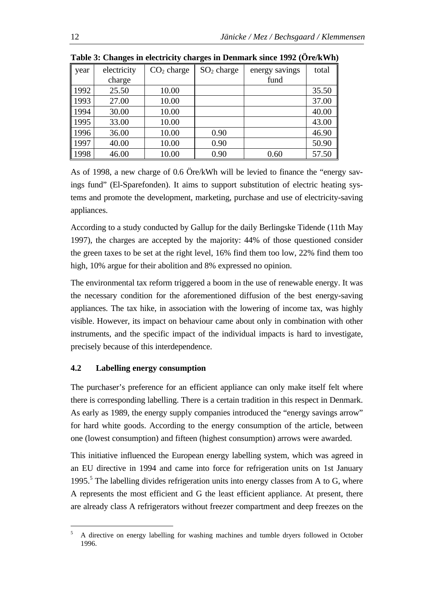| year | electricity | $CO2$ charge | $SO2$ charge | energy savings | total |
|------|-------------|--------------|--------------|----------------|-------|
|      | charge      |              |              | fund           |       |
| 1992 | 25.50       | 10.00        |              |                | 35.50 |
| 1993 | 27.00       | 10.00        |              |                | 37.00 |
| 1994 | 30.00       | 10.00        |              |                | 40.00 |
| 1995 | 33.00       | 10.00        |              |                | 43.00 |
| 1996 | 36.00       | 10.00        | 0.90         |                | 46.90 |
| 1997 | 40.00       | 10.00        | 0.90         |                | 50.90 |
| 1998 | 46.00       | 10.00        | 0.90         | 0.60           | 57.50 |

**Table 3: Changes in electricity charges in Denmark since 1992 (Öre/kWh)**

As of 1998, a new charge of 0.6 Öre/kWh will be levied to finance the "energy savings fund" (El-Sparefonden). It aims to support substitution of electric heating systems and promote the development, marketing, purchase and use of electricity-saving appliances.

According to a study conducted by Gallup for the daily Berlingske Tidende (11th May 1997), the charges are accepted by the majority: 44% of those questioned consider the green taxes to be set at the right level, 16% find them too low, 22% find them too high, 10% argue for their abolition and 8% expressed no opinion.

The environmental tax reform triggered a boom in the use of renewable energy. It was the necessary condition for the aforementioned diffusion of the best energy-saving appliances. The tax hike, in association with the lowering of income tax, was highly visible. However, its impact on behaviour came about only in combination with other instruments, and the specific impact of the individual impacts is hard to investigate, precisely because of this interdependence.

# **4.2 Labelling energy consumption**

 $\overline{a}$ 

The purchaser's preference for an efficient appliance can only make itself felt where there is corresponding labelling. There is a certain tradition in this respect in Denmark. As early as 1989, the energy supply companies introduced the "energy savings arrow" for hard white goods. According to the energy consumption of the article, between one (lowest consumption) and fifteen (highest consumption) arrows were awarded.

This initiative influenced the European energy labelling system, which was agreed in an EU directive in 1994 and came into force for refrigeration units on 1st January 1995.<sup>5</sup> The labelling divides refrigeration units into energy classes from A to G, where A represents the most efficient and G the least efficient appliance. At present, there are already class A refrigerators without freezer compartment and deep freezes on the

<sup>&</sup>lt;sup>5</sup> A directive on energy labelling for washing machines and tumble dryers followed in October 1996.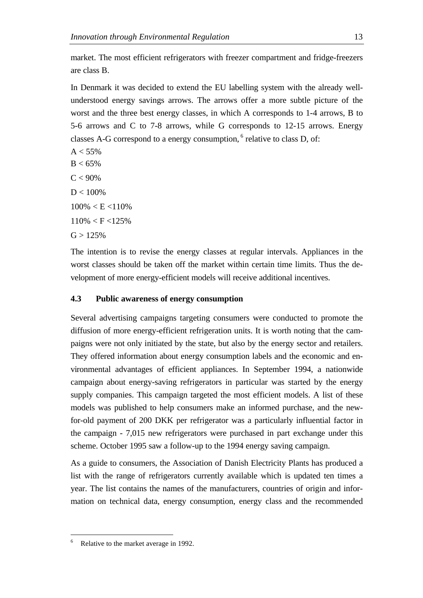market. The most efficient refrigerators with freezer compartment and fridge-freezers are class B.

In Denmark it was decided to extend the EU labelling system with the already wellunderstood energy savings arrows. The arrows offer a more subtle picture of the worst and the three best energy classes, in which A corresponds to 1-4 arrows, B to 5-6 arrows and C to 7-8 arrows, while G corresponds to 12-15 arrows. Energy classes A-G correspond to a energy consumption,  $6$  relative to class D, of:

 $A < 55%$  $B < 65\%$  $C < 90\%$  $D < 100\%$  $100\% < E < 110\%$  $110\% < F < 125\%$  $G > 125%$ 

The intention is to revise the energy classes at regular intervals. Appliances in the worst classes should be taken off the market within certain time limits. Thus the development of more energy-efficient models will receive additional incentives.

# **4.3 Public awareness of energy consumption**

Several advertising campaigns targeting consumers were conducted to promote the diffusion of more energy-efficient refrigeration units. It is worth noting that the campaigns were not only initiated by the state, but also by the energy sector and retailers. They offered information about energy consumption labels and the economic and environmental advantages of efficient appliances. In September 1994, a nationwide campaign about energy-saving refrigerators in particular was started by the energy supply companies. This campaign targeted the most efficient models. A list of these models was published to help consumers make an informed purchase, and the newfor-old payment of 200 DKK per refrigerator was a particularly influential factor in the campaign - 7,015 new refrigerators were purchased in part exchange under this scheme. October 1995 saw a follow-up to the 1994 energy saving campaign.

As a guide to consumers, the Association of Danish Electricity Plants has produced a list with the range of refrigerators currently available which is updated ten times a year. The list contains the names of the manufacturers, countries of origin and information on technical data, energy consumption, energy class and the recommended

<sup>&</sup>lt;sup>6</sup> Relative to the market average in 1992.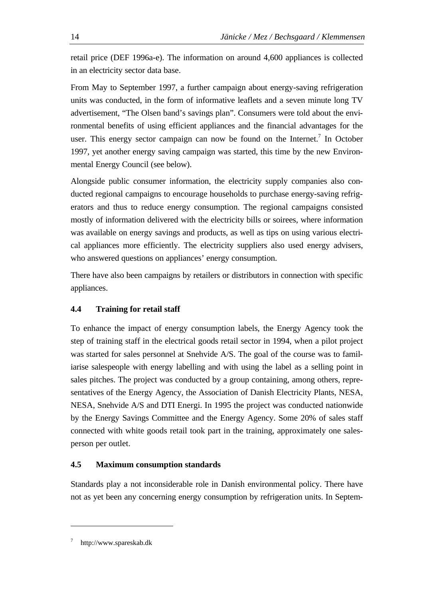retail price (DEF 1996a-e). The information on around 4,600 appliances is collected in an electricity sector data base.

From May to September 1997, a further campaign about energy-saving refrigeration units was conducted, in the form of informative leaflets and a seven minute long TV advertisement, "The Olsen band's savings plan". Consumers were told about the environmental benefits of using efficient appliances and the financial advantages for the user. This energy sector campaign can now be found on the Internet.<sup>7</sup> In October 1997, yet another energy saving campaign was started, this time by the new Environmental Energy Council (see below).

Alongside public consumer information, the electricity supply companies also conducted regional campaigns to encourage households to purchase energy-saving refrigerators and thus to reduce energy consumption. The regional campaigns consisted mostly of information delivered with the electricity bills or soirees, where information was available on energy savings and products, as well as tips on using various electrical appliances more efficiently. The electricity suppliers also used energy advisers, who answered questions on appliances' energy consumption.

There have also been campaigns by retailers or distributors in connection with specific appliances.

# **4.4 Training for retail staff**

To enhance the impact of energy consumption labels, the Energy Agency took the step of training staff in the electrical goods retail sector in 1994, when a pilot project was started for sales personnel at Snehvide A/S. The goal of the course was to familiarise salespeople with energy labelling and with using the label as a selling point in sales pitches. The project was conducted by a group containing, among others, representatives of the Energy Agency, the Association of Danish Electricity Plants, NESA, NESA, Snehvide A/S and DTI Energi. In 1995 the project was conducted nationwide by the Energy Savings Committee and the Energy Agency. Some 20% of sales staff connected with white goods retail took part in the training, approximately one salesperson per outlet.

# **4.5 Maximum consumption standards**

Standards play a not inconsiderable role in Danish environmental policy. There have not as yet been any concerning energy consumption by refrigeration units. In Septem-

<sup>7</sup> http://www.spareskab.dk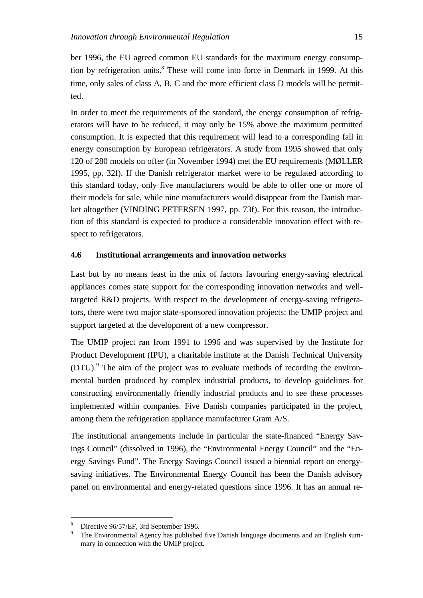ber 1996, the EU agreed common EU standards for the maximum energy consumption by refrigeration units.<sup>8</sup> These will come into force in Denmark in 1999. At this time, only sales of class A, B, C and the more efficient class D models will be permitted.

In order to meet the requirements of the standard, the energy consumption of refrigerators will have to be reduced, it may only be 15% above the maximum permitted consumption. It is expected that this requirement will lead to a corresponding fall in energy consumption by European refrigerators. A study from 1995 showed that only 120 of 280 models on offer (in November 1994) met the EU requirements (MØLLER 1995, pp. 32f). If the Danish refrigerator market were to be regulated according to this standard today, only five manufacturers would be able to offer one or more of their models for sale, while nine manufacturers would disappear from the Danish market altogether (VINDING PETERSEN 1997, pp. 73f). For this reason, the introduction of this standard is expected to produce a considerable innovation effect with respect to refrigerators.

# **4.6 Institutional arrangements and innovation networks**

Last but by no means least in the mix of factors favouring energy-saving electrical appliances comes state support for the corresponding innovation networks and welltargeted R&D projects. With respect to the development of energy-saving refrigerators, there were two major state-sponsored innovation projects: the UMIP project and support targeted at the development of a new compressor.

The UMIP project ran from 1991 to 1996 and was supervised by the Institute for Product Development (IPU), a charitable institute at the Danish Technical University (DTU).<sup>9</sup> The aim of the project was to evaluate methods of recording the environmental burden produced by complex industrial products, to develop guidelines for constructing environmentally friendly industrial products and to see these processes implemented within companies. Five Danish companies participated in the project, among them the refrigeration appliance manufacturer Gram A/S.

The institutional arrangements include in particular the state-financed "Energy Savings Council" (dissolved in 1996), the "Environmental Energy Council" and the "Energy Savings Fund". The Energy Savings Council issued a biennial report on energysaving initiatives. The Environmental Energy Council has been the Danish advisory panel on environmental and energy-related questions since 1996. It has an annual re-

Directive 96/57/EF, 3rd September 1996.

<sup>9</sup> The Environmental Agency has published five Danish language documents and an English summary in connection with the UMIP project.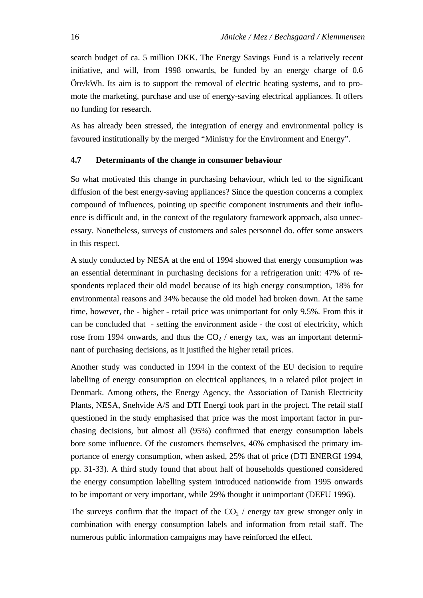search budget of ca. 5 million DKK. The Energy Savings Fund is a relatively recent initiative, and will, from 1998 onwards, be funded by an energy charge of 0.6 Öre/kWh. Its aim is to support the removal of electric heating systems, and to promote the marketing, purchase and use of energy-saving electrical appliances. It offers no funding for research.

As has already been stressed, the integration of energy and environmental policy is favoured institutionally by the merged "Ministry for the Environment and Energy".

# **4.7 Determinants of the change in consumer behaviour**

So what motivated this change in purchasing behaviour, which led to the significant diffusion of the best energy-saving appliances? Since the question concerns a complex compound of influences, pointing up specific component instruments and their influence is difficult and, in the context of the regulatory framework approach, also unnecessary. Nonetheless, surveys of customers and sales personnel do. offer some answers in this respect.

A study conducted by NESA at the end of 1994 showed that energy consumption was an essential determinant in purchasing decisions for a refrigeration unit: 47% of respondents replaced their old model because of its high energy consumption, 18% for environmental reasons and 34% because the old model had broken down. At the same time, however, the - higher - retail price was unimportant for only 9.5%. From this it can be concluded that - setting the environment aside - the cost of electricity, which rose from 1994 onwards, and thus the  $CO<sub>2</sub>$  / energy tax, was an important determinant of purchasing decisions, as it justified the higher retail prices.

Another study was conducted in 1994 in the context of the EU decision to require labelling of energy consumption on electrical appliances, in a related pilot project in Denmark. Among others, the Energy Agency, the Association of Danish Electricity Plants, NESA, Snehvide A/S and DTI Energi took part in the project. The retail staff questioned in the study emphasised that price was the most important factor in purchasing decisions, but almost all (95%) confirmed that energy consumption labels bore some influence. Of the customers themselves, 46% emphasised the primary importance of energy consumption, when asked, 25% that of price (DTI ENERGI 1994, pp. 31-33). A third study found that about half of households questioned considered the energy consumption labelling system introduced nationwide from 1995 onwards to be important or very important, while 29% thought it unimportant (DEFU 1996).

The surveys confirm that the impact of the  $CO<sub>2</sub>$  / energy tax grew stronger only in combination with energy consumption labels and information from retail staff. The numerous public information campaigns may have reinforced the effect.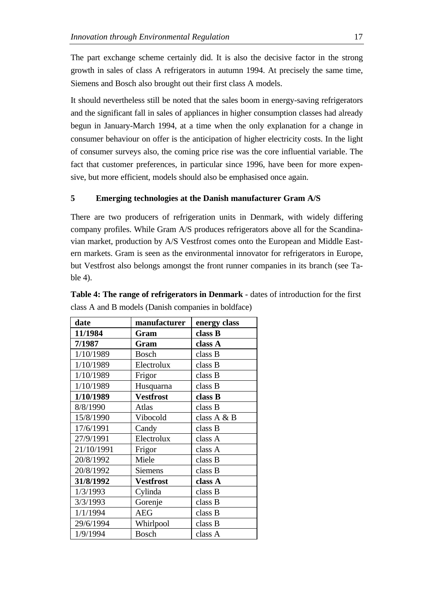The part exchange scheme certainly did. It is also the decisive factor in the strong growth in sales of class A refrigerators in autumn 1994. At precisely the same time, Siemens and Bosch also brought out their first class A models.

It should nevertheless still be noted that the sales boom in energy-saving refrigerators and the significant fall in sales of appliances in higher consumption classes had already begun in January-March 1994, at a time when the only explanation for a change in consumer behaviour on offer is the anticipation of higher electricity costs. In the light of consumer surveys also, the coming price rise was the core influential variable. The fact that customer preferences, in particular since 1996, have been for more expensive, but more efficient, models should also be emphasised once again.

# **5 Emerging technologies at the Danish manufacturer Gram A/S**

There are two producers of refrigeration units in Denmark, with widely differing company profiles. While Gram A/S produces refrigerators above all for the Scandinavian market, production by A/S Vestfrost comes onto the European and Middle Eastern markets. Gram is seen as the environmental innovator for refrigerators in Europe, but Vestfrost also belongs amongst the front runner companies in its branch (see Table 4).

| date       | manufacturer     | energy class |
|------------|------------------|--------------|
| 11/1984    | Gram             | class B      |
| 7/1987     | Gram             | class A      |
| 1/10/1989  | <b>Bosch</b>     | class B      |
| 1/10/1989  | Electrolux       | class B      |
| 1/10/1989  | Frigor           | class B      |
| 1/10/1989  | Husquarna        | class B      |
| 1/10/1989  | <b>Vestfrost</b> | class B      |
| 8/8/1990   | Atlas            | class B      |
| 15/8/1990  | Vibocold         | class A & B  |
| 17/6/1991  | Candy            | class B      |
| 27/9/1991  | Electrolux       | class A      |
| 21/10/1991 | Frigor           | class A      |
| 20/8/1992  | Miele            | class B      |
| 20/8/1992  | <b>Siemens</b>   | class B      |
| 31/8/1992  | <b>Vestfrost</b> | class A      |
| 1/3/1993   | Cylinda          | class B      |
| 3/3/1993   | Gorenje          | class B      |
| 1/1/1994   | <b>AEG</b>       | class B      |
| 29/6/1994  | Whirlpool        | class B      |
| 1/9/1994   | <b>Bosch</b>     | class A      |

**Table 4: The range of refrigerators in Denmark** - dates of introduction for the first class A and B models (Danish companies in boldface)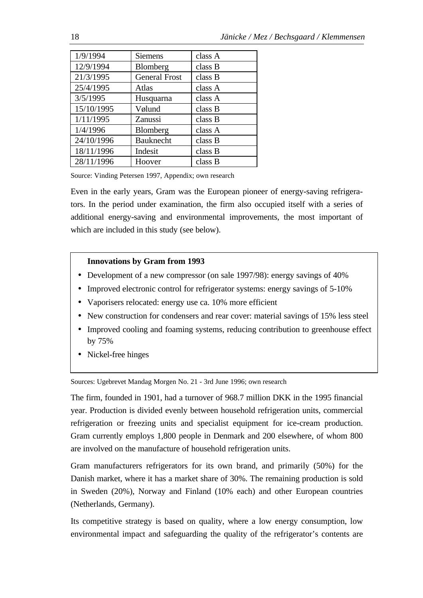| 1/9/1994   | <b>Siemens</b>       | class A |
|------------|----------------------|---------|
| 12/9/1994  | Blomberg             | class B |
| 21/3/1995  | <b>General Frost</b> | class B |
| 25/4/1995  | Atlas                | class A |
| 3/5/1995   | Husquarna            | class A |
| 15/10/1995 | Vølund               | class B |
| 1/11/1995  | Zanussi              | class B |
| 1/4/1996   | Blomberg             | class A |
| 24/10/1996 | <b>Bauknecht</b>     | class B |
| 18/11/1996 | Indesit              | class B |
| 28/11/1996 | Hoover               | class B |

Source: Vinding Petersen 1997, Appendix; own research

Even in the early years, Gram was the European pioneer of energy-saving refrigerators. In the period under examination, the firm also occupied itself with a series of additional energy-saving and environmental improvements, the most important of which are included in this study (see below).

# **Innovations by Gram from 1993**

- Development of a new compressor (on sale 1997/98): energy savings of 40%
- Improved electronic control for refrigerator systems: energy savings of 5-10%
- Vaporisers relocated: energy use ca. 10% more efficient
- New construction for condensers and rear cover: material savings of 15% less steel
- Improved cooling and foaming systems, reducing contribution to greenhouse effect by 75%
- Nickel-free hinges

Sources: Ugebrevet Mandag Morgen No. 21 - 3rd June 1996; own research

The firm, founded in 1901, had a turnover of 968.7 million DKK in the 1995 financial year. Production is divided evenly between household refrigeration units, commercial refrigeration or freezing units and specialist equipment for ice-cream production. Gram currently employs 1,800 people in Denmark and 200 elsewhere, of whom 800 are involved on the manufacture of household refrigeration units.

Gram manufacturers refrigerators for its own brand, and primarily (50%) for the Danish market, where it has a market share of 30%. The remaining production is sold in Sweden (20%), Norway and Finland (10% each) and other European countries (Netherlands, Germany).

Its competitive strategy is based on quality, where a low energy consumption, low environmental impact and safeguarding the quality of the refrigerator's contents are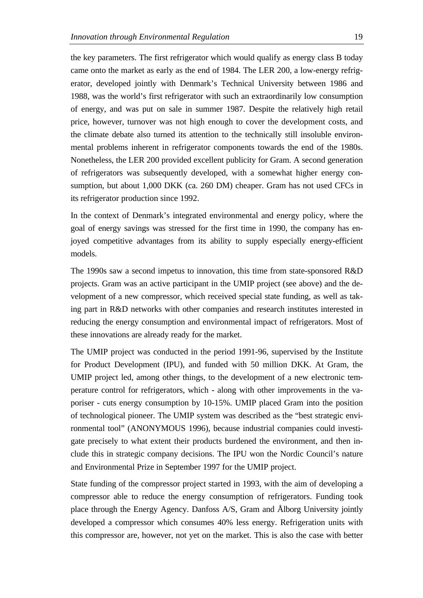the key parameters. The first refrigerator which would qualify as energy class B today came onto the market as early as the end of 1984. The LER 200, a low-energy refrigerator, developed jointly with Denmark's Technical University between 1986 and 1988, was the world's first refrigerator with such an extraordinarily low consumption of energy, and was put on sale in summer 1987. Despite the relatively high retail price, however, turnover was not high enough to cover the development costs, and the climate debate also turned its attention to the technically still insoluble environmental problems inherent in refrigerator components towards the end of the 1980s. Nonetheless, the LER 200 provided excellent publicity for Gram. A second generation of refrigerators was subsequently developed, with a somewhat higher energy consumption, but about 1,000 DKK (ca. 260 DM) cheaper. Gram has not used CFCs in its refrigerator production since 1992.

In the context of Denmark's integrated environmental and energy policy, where the goal of energy savings was stressed for the first time in 1990, the company has enjoyed competitive advantages from its ability to supply especially energy-efficient models.

The 1990s saw a second impetus to innovation, this time from state-sponsored R&D projects. Gram was an active participant in the UMIP project (see above) and the development of a new compressor, which received special state funding, as well as taking part in R&D networks with other companies and research institutes interested in reducing the energy consumption and environmental impact of refrigerators. Most of these innovations are already ready for the market.

The UMIP project was conducted in the period 1991-96, supervised by the Institute for Product Development (IPU), and funded with 50 million DKK. At Gram, the UMIP project led, among other things, to the development of a new electronic temperature control for refrigerators, which - along with other improvements in the vaporiser - cuts energy consumption by 10-15%. UMIP placed Gram into the position of technological pioneer. The UMIP system was described as the "best strategic environmental tool" (ANONYMOUS 1996), because industrial companies could investigate precisely to what extent their products burdened the environment, and then include this in strategic company decisions. The IPU won the Nordic Council's nature and Environmental Prize in September 1997 for the UMIP project.

State funding of the compressor project started in 1993, with the aim of developing a compressor able to reduce the energy consumption of refrigerators. Funding took place through the Energy Agency. Danfoss A/S, Gram and Ålborg University jointly developed a compressor which consumes 40% less energy. Refrigeration units with this compressor are, however, not yet on the market. This is also the case with better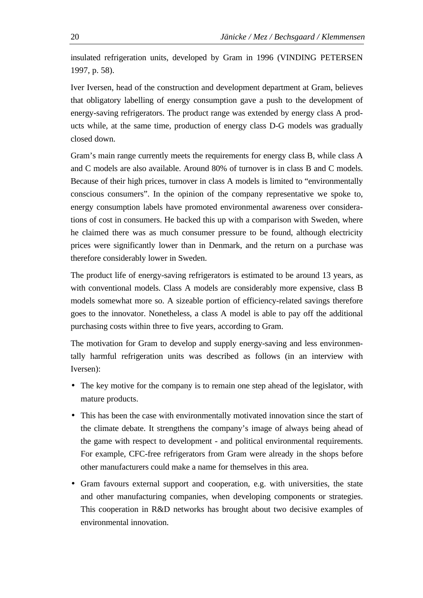insulated refrigeration units, developed by Gram in 1996 (VINDING PETERSEN 1997, p. 58).

Iver Iversen, head of the construction and development department at Gram, believes that obligatory labelling of energy consumption gave a push to the development of energy-saving refrigerators. The product range was extended by energy class A products while, at the same time, production of energy class D-G models was gradually closed down.

Gram's main range currently meets the requirements for energy class B, while class A and C models are also available. Around 80% of turnover is in class B and C models. Because of their high prices, turnover in class A models is limited to "environmentally conscious consumers". In the opinion of the company representative we spoke to, energy consumption labels have promoted environmental awareness over considerations of cost in consumers. He backed this up with a comparison with Sweden, where he claimed there was as much consumer pressure to be found, although electricity prices were significantly lower than in Denmark, and the return on a purchase was therefore considerably lower in Sweden.

The product life of energy-saving refrigerators is estimated to be around 13 years, as with conventional models. Class A models are considerably more expensive, class B models somewhat more so. A sizeable portion of efficiency-related savings therefore goes to the innovator. Nonetheless, a class A model is able to pay off the additional purchasing costs within three to five years, according to Gram.

The motivation for Gram to develop and supply energy-saving and less environmentally harmful refrigeration units was described as follows (in an interview with Iversen):

- The key motive for the company is to remain one step ahead of the legislator, with mature products.
- This has been the case with environmentally motivated innovation since the start of the climate debate. It strengthens the company's image of always being ahead of the game with respect to development - and political environmental requirements. For example, CFC-free refrigerators from Gram were already in the shops before other manufacturers could make a name for themselves in this area.
- Gram favours external support and cooperation, e.g. with universities, the state and other manufacturing companies, when developing components or strategies. This cooperation in R&D networks has brought about two decisive examples of environmental innovation.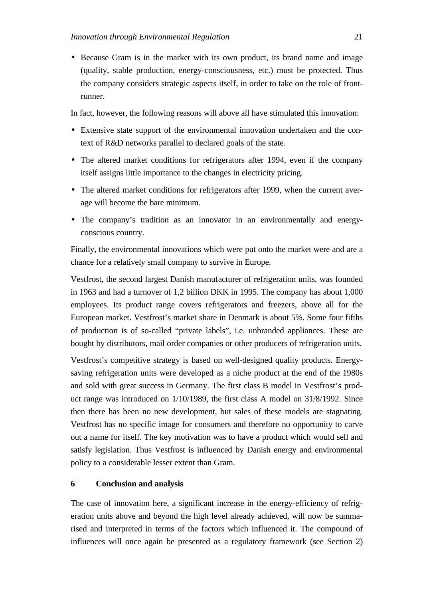• Because Gram is in the market with its own product, its brand name and image (quality, stable production, energy-consciousness, etc.) must be protected. Thus the company considers strategic aspects itself, in order to take on the role of frontrunner.

In fact, however, the following reasons will above all have stimulated this innovation:

- Extensive state support of the environmental innovation undertaken and the context of R&D networks parallel to declared goals of the state.
- The altered market conditions for refrigerators after 1994, even if the company itself assigns little importance to the changes in electricity pricing.
- The altered market conditions for refrigerators after 1999, when the current average will become the bare minimum.
- The company's tradition as an innovator in an environmentally and energyconscious country.

Finally, the environmental innovations which were put onto the market were and are a chance for a relatively small company to survive in Europe.

Vestfrost, the second largest Danish manufacturer of refrigeration units, was founded in 1963 and had a turnover of 1,2 billion DKK in 1995. The company has about 1,000 employees. Its product range covers refrigerators and freezers, above all for the European market. Vestfrost's market share in Denmark is about 5%. Some four fifths of production is of so-called "private labels", i.e. unbranded appliances. These are bought by distributors, mail order companies or other producers of refrigeration units.

Vestfrost's competitive strategy is based on well-designed quality products. Energysaving refrigeration units were developed as a niche product at the end of the 1980s and sold with great success in Germany. The first class B model in Vestfrost's product range was introduced on 1/10/1989, the first class A model on 31/8/1992. Since then there has been no new development, but sales of these models are stagnating. Vestfrost has no specific image for consumers and therefore no opportunity to carve out a name for itself. The key motivation was to have a product which would sell and satisfy legislation. Thus Vestfrost is influenced by Danish energy and environmental policy to a considerable lesser extent than Gram.

### **6 Conclusion and analysis**

The case of innovation here, a significant increase in the energy-efficiency of refrigeration units above and beyond the high level already achieved, will now be summarised and interpreted in terms of the factors which influenced it. The compound of influences will once again be presented as a regulatory framework (see Section 2)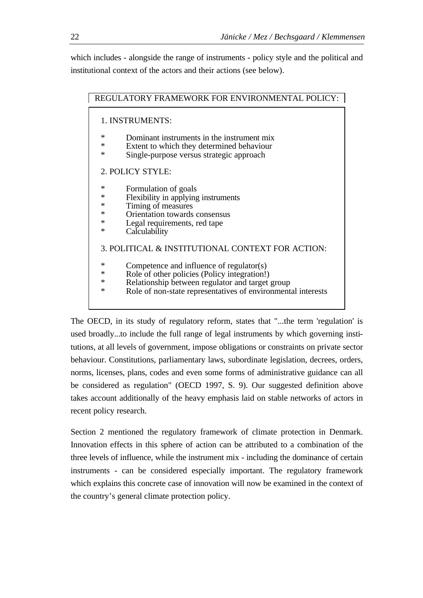which includes - alongside the range of instruments - policy style and the political and institutional context of the actors and their actions (see below).

| REGULATORY FRAMEWORK FOR ENVIRONMENTAL POLICY:                                                                                                                                                                                  |
|---------------------------------------------------------------------------------------------------------------------------------------------------------------------------------------------------------------------------------|
| 1. INSTRUMENTS:                                                                                                                                                                                                                 |
| ∗<br>Dominant instruments in the instrument mix<br>*<br>Extent to which they determined behaviour<br>Single-purpose versus strategic approach<br>ж                                                                              |
| 2. POLICY STYLE:                                                                                                                                                                                                                |
| *<br>Formulation of goals<br>*<br>Flexibility in applying instruments<br>Timing of measures<br>*<br>Orientation towards consensus<br>*<br>*<br>Legal requirements, red tape<br>*<br>Calculability                               |
| 3. POLITICAL & INSTITUTIONAL CONTEXT FOR ACTION:                                                                                                                                                                                |
| *<br>Competence and influence of regulator(s)<br>Role of other policies (Policy integration!)<br>∗<br>Relationship between regulator and target group<br>*<br>Role of non-state representatives of environmental interests<br>* |

The OECD, in its study of regulatory reform, states that "...the term 'regulation' is used broadly...to include the full range of legal instruments by which governing institutions, at all levels of government, impose obligations or constraints on private sector behaviour. Constitutions, parliamentary laws, subordinate legislation, decrees, orders, norms, licenses, plans, codes and even some forms of administrative guidance can all be considered as regulation" (OECD 1997, S. 9). Our suggested definition above takes account additionally of the heavy emphasis laid on stable networks of actors in recent policy research.

Section 2 mentioned the regulatory framework of climate protection in Denmark. Innovation effects in this sphere of action can be attributed to a combination of the three levels of influence, while the instrument mix - including the dominance of certain instruments - can be considered especially important. The regulatory framework which explains this concrete case of innovation will now be examined in the context of the country's general climate protection policy.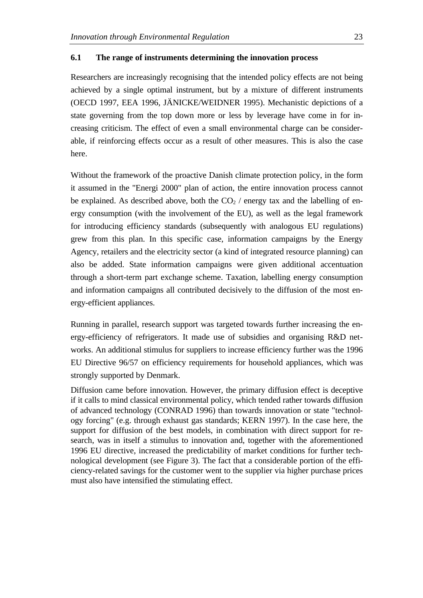### **6.1 The range of instruments determining the innovation process**

Researchers are increasingly recognising that the intended policy effects are not being achieved by a single optimal instrument, but by a mixture of different instruments (OECD 1997, EEA 1996, JÄNICKE/WEIDNER 1995). Mechanistic depictions of a state governing from the top down more or less by leverage have come in for increasing criticism. The effect of even a small environmental charge can be considerable, if reinforcing effects occur as a result of other measures. This is also the case here.

Without the framework of the proactive Danish climate protection policy, in the form it assumed in the "Energi 2000" plan of action, the entire innovation process cannot be explained. As described above, both the  $CO<sub>2</sub>$  / energy tax and the labelling of energy consumption (with the involvement of the EU), as well as the legal framework for introducing efficiency standards (subsequently with analogous EU regulations) grew from this plan. In this specific case, information campaigns by the Energy Agency, retailers and the electricity sector (a kind of integrated resource planning) can also be added. State information campaigns were given additional accentuation through a short-term part exchange scheme. Taxation, labelling energy consumption and information campaigns all contributed decisively to the diffusion of the most energy-efficient appliances.

Running in parallel, research support was targeted towards further increasing the energy-efficiency of refrigerators. It made use of subsidies and organising R&D networks. An additional stimulus for suppliers to increase efficiency further was the 1996 EU Directive 96/57 on efficiency requirements for household appliances, which was strongly supported by Denmark.

Diffusion came before innovation. However, the primary diffusion effect is deceptive if it calls to mind classical environmental policy, which tended rather towards diffusion of advanced technology (CONRAD 1996) than towards innovation or state "technology forcing" (e.g. through exhaust gas standards; KERN 1997). In the case here, the support for diffusion of the best models, in combination with direct support for research, was in itself a stimulus to innovation and, together with the aforementioned 1996 EU directive, increased the predictability of market conditions for further technological development (see Figure 3). The fact that a considerable portion of the efficiency-related savings for the customer went to the supplier via higher purchase prices must also have intensified the stimulating effect.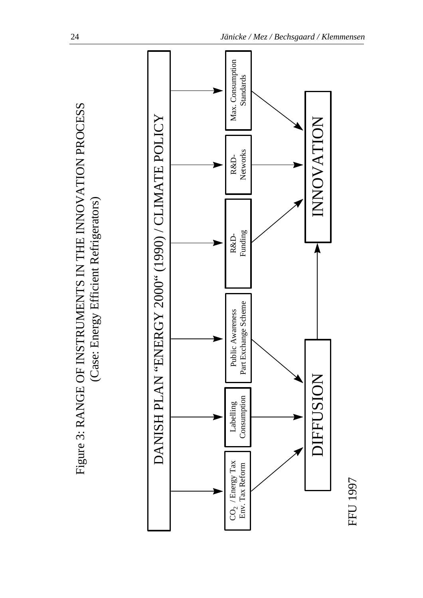

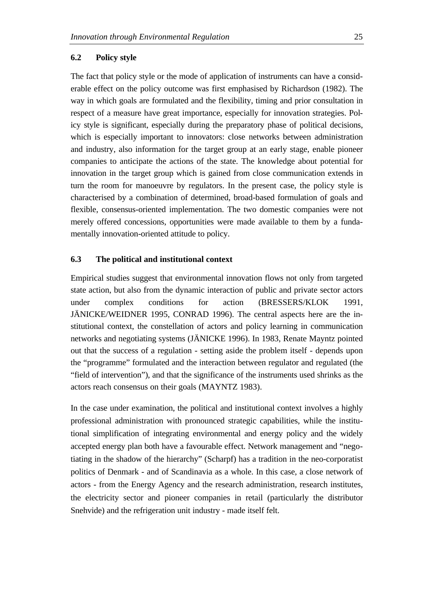### **6.2 Policy style**

The fact that policy style or the mode of application of instruments can have a considerable effect on the policy outcome was first emphasised by Richardson (1982). The way in which goals are formulated and the flexibility, timing and prior consultation in respect of a measure have great importance, especially for innovation strategies. Policy style is significant, especially during the preparatory phase of political decisions, which is especially important to innovators: close networks between administration and industry, also information for the target group at an early stage, enable pioneer companies to anticipate the actions of the state. The knowledge about potential for innovation in the target group which is gained from close communication extends in turn the room for manoeuvre by regulators. In the present case, the policy style is characterised by a combination of determined, broad-based formulation of goals and flexible, consensus-oriented implementation. The two domestic companies were not merely offered concessions, opportunities were made available to them by a fundamentally innovation-oriented attitude to policy.

### **6.3 The political and institutional context**

Empirical studies suggest that environmental innovation flows not only from targeted state action, but also from the dynamic interaction of public and private sector actors under complex conditions for action (BRESSERS/KLOK 1991, JÄNICKE/WEIDNER 1995, CONRAD 1996). The central aspects here are the institutional context, the constellation of actors and policy learning in communication networks and negotiating systems (JÄNICKE 1996). In 1983, Renate Mayntz pointed out that the success of a regulation - setting aside the problem itself - depends upon the "programme" formulated and the interaction between regulator and regulated (the "field of intervention"), and that the significance of the instruments used shrinks as the actors reach consensus on their goals (MAYNTZ 1983).

In the case under examination, the political and institutional context involves a highly professional administration with pronounced strategic capabilities, while the institutional simplification of integrating environmental and energy policy and the widely accepted energy plan both have a favourable effect. Network management and "negotiating in the shadow of the hierarchy" (Scharpf) has a tradition in the neo-corporatist politics of Denmark - and of Scandinavia as a whole. In this case, a close network of actors - from the Energy Agency and the research administration, research institutes, the electricity sector and pioneer companies in retail (particularly the distributor Snehvide) and the refrigeration unit industry - made itself felt.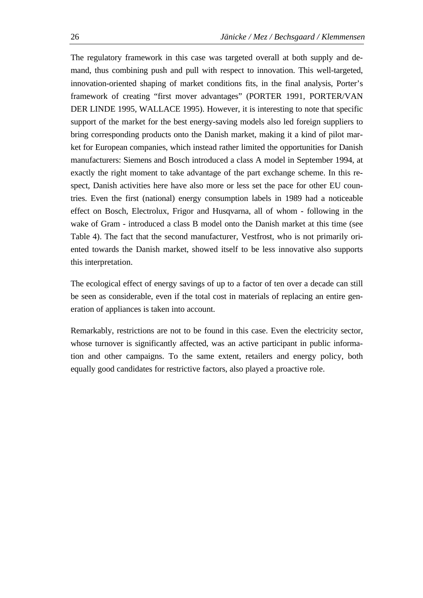The regulatory framework in this case was targeted overall at both supply and demand, thus combining push and pull with respect to innovation. This well-targeted, innovation-oriented shaping of market conditions fits, in the final analysis, Porter's framework of creating "first mover advantages" (PORTER 1991, PORTER/VAN DER LINDE 1995, WALLACE 1995). However, it is interesting to note that specific support of the market for the best energy-saving models also led foreign suppliers to bring corresponding products onto the Danish market, making it a kind of pilot market for European companies, which instead rather limited the opportunities for Danish manufacturers: Siemens and Bosch introduced a class A model in September 1994, at exactly the right moment to take advantage of the part exchange scheme. In this respect, Danish activities here have also more or less set the pace for other EU countries. Even the first (national) energy consumption labels in 1989 had a noticeable effect on Bosch, Electrolux, Frigor and Husqvarna, all of whom - following in the wake of Gram - introduced a class B model onto the Danish market at this time (see Table 4). The fact that the second manufacturer, Vestfrost, who is not primarily oriented towards the Danish market, showed itself to be less innovative also supports this interpretation.

The ecological effect of energy savings of up to a factor of ten over a decade can still be seen as considerable, even if the total cost in materials of replacing an entire generation of appliances is taken into account.

Remarkably, restrictions are not to be found in this case. Even the electricity sector, whose turnover is significantly affected, was an active participant in public information and other campaigns. To the same extent, retailers and energy policy, both equally good candidates for restrictive factors, also played a proactive role.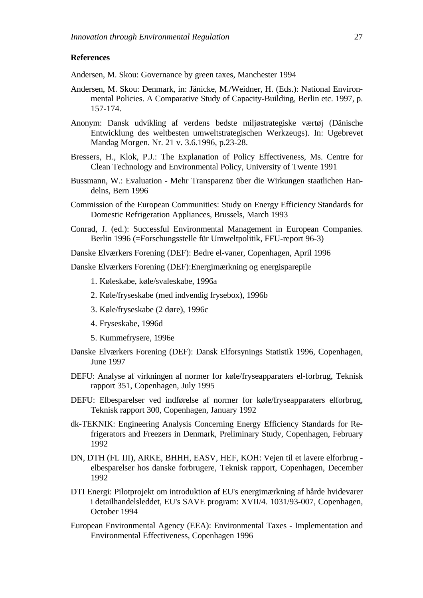#### **References**

Andersen, M. Skou: Governance by green taxes, Manchester 1994

- Andersen, M. Skou: Denmark, in: Jänicke, M./Weidner, H. (Eds.): National Environmental Policies. A Comparative Study of Capacity-Building, Berlin etc. 1997, p. 157-174.
- Anonym: Dansk udvikling af verdens bedste miljøstrategiske værtøj (Dänische Entwicklung des weltbesten umweltstrategischen Werkzeugs). In: Ugebrevet Mandag Morgen. Nr. 21 v. 3.6.1996, p.23-28.
- Bressers, H., Klok, P.J.: The Explanation of Policy Effectiveness, Ms. Centre for Clean Technology and Environmental Policy, University of Twente 1991
- Bussmann, W.: Evaluation Mehr Transparenz über die Wirkungen staatlichen Handelns, Bern 1996
- Commission of the European Communities: Study on Energy Efficiency Standards for Domestic Refrigeration Appliances, Brussels, March 1993
- Conrad, J. (ed.): Successful Environmental Management in European Companies. Berlin 1996 (=Forschungsstelle für Umweltpolitik, FFU-report 96-3)
- Danske Elværkers Forening (DEF): Bedre el-vaner, Copenhagen, April 1996

Danske Elværkers Forening (DEF):Energimærkning og energisparepile

- 1. Køleskabe, køle/svaleskabe, 1996a
- 2. Køle/fryseskabe (med indvendig frysebox), 1996b
- 3. Køle/fryseskabe (2 døre), 1996c
- 4. Fryseskabe, 1996d
- 5. Kummefrysere, 1996e
- Danske Elværkers Forening (DEF): Dansk Elforsynings Statistik 1996, Copenhagen, June 1997
- DEFU: Analyse af virkningen af normer for køle/fryseapparaters el-forbrug, Teknisk rapport 351, Copenhagen, July 1995
- DEFU: Elbesparelser ved indførelse af normer for køle/fryseapparaters elforbrug, Teknisk rapport 300, Copenhagen, January 1992
- dk-TEKNIK: Engineering Analysis Concerning Energy Efficiency Standards for Refrigerators and Freezers in Denmark*,* Preliminary Study, Copenhagen, February 1992
- DN, DTH (FL III), ARKE, BHHH, EASV, HEF, KOH: Vejen til et lavere elforbrug elbesparelser hos danske forbrugere*,* Teknisk rapport, Copenhagen, December 1992
- DTI Energi: Pilotprojekt om introduktion af EU's energimærkning af hårde hvidevarer i detailhandelsleddet, EU's SAVE program: XVII/4. 1031/93-007, Copenhagen, October 1994
- European Environmental Agency (EEA): Environmental Taxes Implementation and Environmental Effectiveness, Copenhagen 1996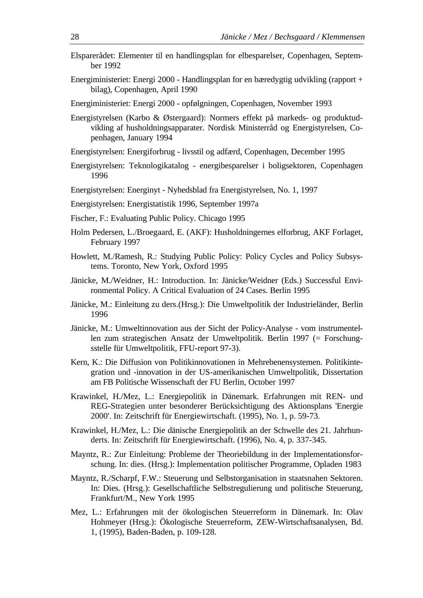- Elsparerådet: Elementer til en handlingsplan for elbesparelser, Copenhagen, September 1992
- Energiministeriet: Energi 2000 Handlingsplan for en bæredygtig udvikling (rapport + bilag), Copenhagen, April 1990
- Energiministeriet: Energi 2000 opfølgningen, Copenhagen, November 1993
- Energistyrelsen (Karbo & Østergaard): Normers effekt på markeds- og produktudvikling af husholdningsapparater. Nordisk Ministerråd og Energistyrelsen, Copenhagen, January 1994
- Energistyrelsen: Energiforbrug livsstil og adfærd, Copenhagen, December 1995
- Energistyrelsen: Teknologikatalog energibesparelser i boligsektoren, Copenhagen 1996
- Energistyrelsen: Energinyt Nyhedsblad fra Energistyrelsen, No. 1, 1997
- Energistyrelsen: Energistatistik 1996, September 1997a
- Fischer, F.: Evaluating Public Policy. Chicago 1995
- Holm Pedersen, L./Broegaard, E. (AKF): Husholdningernes elforbrug, AKF Forlaget, February 1997
- Howlett, M./Ramesh, R.: Studying Public Policy: Policy Cycles and Policy Subsystems. Toronto, New York, Oxford 1995
- Jänicke, M./Weidner, H.: Introduction. In: Jänicke/Weidner (Eds.) Successful Environmental Policy. A Critical Evaluation of 24 Cases. Berlin 1995
- Jänicke, M.: Einleitung zu ders.(Hrsg.): Die Umweltpolitik der Industrieländer, Berlin 1996
- Jänicke, M.: Umweltinnovation aus der Sicht der Policy-Analyse vom instrumentellen zum strategischen Ansatz der Umweltpolitik. Berlin 1997 (= Forschungsstelle für Umweltpolitik, FFU-report 97-3).
- Kern, K.: Die Diffusion von Politikinnovationen in Mehrebenensystemen. Politikintegration und -innovation in der US-amerikanischen Umweltpolitik, Dissertation am FB Politische Wissenschaft der FU Berlin, October 1997
- Krawinkel, H./Mez, L.: Energiepolitik in Dänemark. Erfahrungen mit REN- und REG-Strategien unter besonderer Berücksichtigung des Aktionsplans 'Energie 2000'. In: Zeitschrift für Energiewirtschaft. (1995), No. 1, p. 59-73.
- Krawinkel, H./Mez, L.: Die dänische Energiepolitik an der Schwelle des 21. Jahrhunderts. In: Zeitschrift für Energiewirtschaft. (1996), No. 4, p. 337-345.
- Mayntz, R.: Zur Einleitung: Probleme der Theoriebildung in der Implementationsforschung. In: dies. (Hrsg.): Implementation politischer Programme, Opladen 1983
- Mayntz, R./Scharpf, F.W.: Steuerung und Selbstorganisation in staatsnahen Sektoren. In: Dies. (Hrsg.): Gesellschaftliche Selbstregulierung und politische Steuerung, Frankfurt/M., New York 1995
- Mez, L.: Erfahrungen mit der ökologischen Steuerreform in Dänemark. In: Olav Hohmeyer (Hrsg.): Ökologische Steuerreform, ZEW-Wirtschaftsanalysen, Bd. 1, (1995), Baden-Baden, p. 109-128.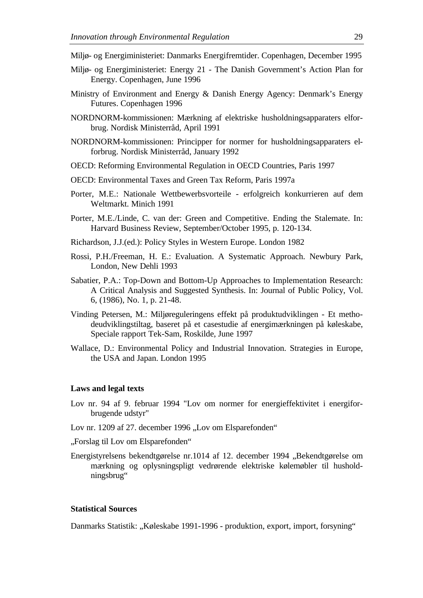- Miljø- og Energiministeriet: Danmarks Energifremtider. Copenhagen, December 1995
- Miljø- og Energiministeriet: Energy 21 The Danish Government's Action Plan for Energy. Copenhagen, June 1996
- Ministry of Environment and Energy & Danish Energy Agency: Denmark's Energy Futures. Copenhagen 1996
- NORDNORM-kommissionen: Mærkning af elektriske husholdningsapparaters elforbrug. Nordisk Ministerråd, April 1991
- NORDNORM-kommissionen: Principper for normer for husholdningsapparaters elforbrug. Nordisk Ministerråd, January 1992
- OECD: Reforming Environmental Regulation in OECD Countries, Paris 1997
- OECD: Environmental Taxes and Green Tax Reform, Paris 1997a
- Porter, M.E.: Nationale Wettbewerbsvorteile erfolgreich konkurrieren auf dem Weltmarkt. Minich 1991
- Porter, M.E./Linde, C. van der: Green and Competitive. Ending the Stalemate. In: Harvard Business Review, September/October 1995, p. 120-134.
- Richardson, J.J.(ed.): Policy Styles in Western Europe. London 1982
- Rossi, P.H./Freeman, H. E.: Evaluation. A Systematic Approach. Newbury Park, London, New Dehli 1993
- Sabatier, P.A.: Top-Down and Bottom-Up Approaches to Implementation Research: A Critical Analysis and Suggested Synthesis. In: Journal of Public Policy, Vol. 6, (1986), No. 1, p. 21-48.
- Vinding Petersen, M.: Miljøreguleringens effekt på produktudviklingen Et methodeudviklingstiltag, baseret på et casestudie af energimærkningen på køleskabe, Speciale rapport Tek-Sam, Roskilde, June 1997
- Wallace, D.: Environmental Policy and Industrial Innovation. Strategies in Europe, the USA and Japan. London 1995

#### **Laws and legal texts**

- Lov nr. 94 af 9. februar 1994 "Lov om normer for energieffektivitet i energiforbrugende udstyr"
- Lov nr. 1209 af 27. december 1996 "Lov om Elsparefonden"
- "Forslag til Lov om Elsparefonden"
- Energistyrelsens bekendtgørelse nr.1014 af 12. december 1994 "Bekendtgørelse om mærkning og oplysningspligt vedrørende elektriske kølemøbler til husholdningsbrug"

# **Statistical Sources**

Danmarks Statistik: "Køleskabe 1991-1996 - produktion, export, import, forsyning"